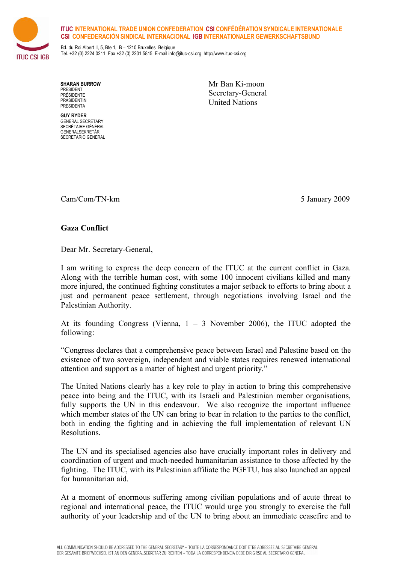



Bd. du Roi Albert II, 5, Bte 1, B – 1210 Bruxelles Belgique Tel. +32 (0) 2224 0211 Fax +32 (0) 2201 5815 E-mail info@ituc-csi.org http://www.ituc-csi.org

**SHARAN BURROW** PRESIDENT PRÉSIDENTE PRÄSIDENTIN PRESIDENTA

**GUY RYDER** GENERAL SECRETARY SECRÉTAIRE GÉNÉRAL GENERALSEKRETÄR SECRETARIO GENERAL Mr Ban Ki-moon Secretary-General United Nations

Cam/Com/TN-km 5 January 2009

## **Gaza Conflict**

Dear Mr. Secretary-General,

I am writing to express the deep concern of the ITUC at the current conflict in Gaza. Along with the terrible human cost, with some 100 innocent civilians killed and many more injured, the continued fighting constitutes a major setback to efforts to bring about a just and permanent peace settlement, through negotiations involving Israel and the Palestinian Authority.

At its founding Congress (Vienna,  $1 - 3$  November 2006), the ITUC adopted the following:

"Congress declares that a comprehensive peace between Israel and Palestine based on the existence of two sovereign, independent and viable states requires renewed international attention and support as a matter of highest and urgent priority."

The United Nations clearly has a key role to play in action to bring this comprehensive peace into being and the ITUC, with its Israeli and Palestinian member organisations, fully supports the UN in this endeavour. We also recognize the important influence which member states of the UN can bring to bear in relation to the parties to the conflict, both in ending the fighting and in achieving the full implementation of relevant UN Resolutions.

The UN and its specialised agencies also have crucially important roles in delivery and coordination of urgent and much-needed humanitarian assistance to those affected by the fighting. The ITUC, with its Palestinian affiliate the PGFTU, has also launched an appeal for humanitarian aid.

At a moment of enormous suffering among civilian populations and of acute threat to regional and international peace, the ITUC would urge you strongly to exercise the full authority of your leadership and of the UN to bring about an immediate ceasefire and to